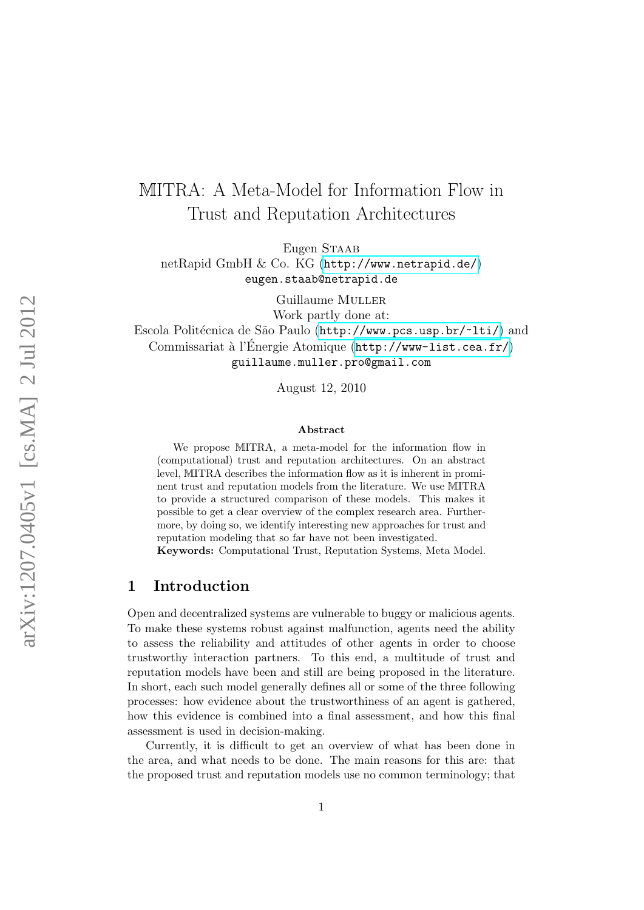# MITRA: A Meta-Model for Information Flow in Trust and Reputation Architectures

Eugen STAAB netRapid GmbH & Co. KG (<http://www.netrapid.de/>)

eugen.staab@netrapid.de

Guillaume MULLER Work partly done at:

Escola Politécnica de São Paulo (<http://www.pcs.usp.br/~lti/>) and Commissariat à l'Energie Atomique (<http://www-list.cea.fr/>) guillaume.muller.pro@gmail.com

August 12, 2010

#### Abstract

We propose MITRA, a meta-model for the information flow in (computational) trust and reputation architectures. On an abstract level, MITRA describes the information flow as it is inherent in prominent trust and reputation models from the literature. We use MITRA to provide a structured comparison of these models. This makes it possible to get a clear overview of the complex research area. Furthermore, by doing so, we identify interesting new approaches for trust and reputation modeling that so far have not been investigated. Keywords: Computational Trust, Reputation Systems, Meta Model.

## 1 Introduction

Open and decentralized systems are vulnerable to buggy or malicious agents. To make these systems robust against malfunction, agents need the ability to assess the reliability and attitudes of other agents in order to choose trustworthy interaction partners. To this end, a multitude of trust and reputation models have been and still are being proposed in the literature. In short, each such model generally defines all or some of the three following processes: how evidence about the trustworthiness of an agent is gathered, how this evidence is combined into a final assessment, and how this final assessment is used in decision-making.

Currently, it is difficult to get an overview of what has been done in the area, and what needs to be done. The main reasons for this are: that the proposed trust and reputation models use no common terminology; that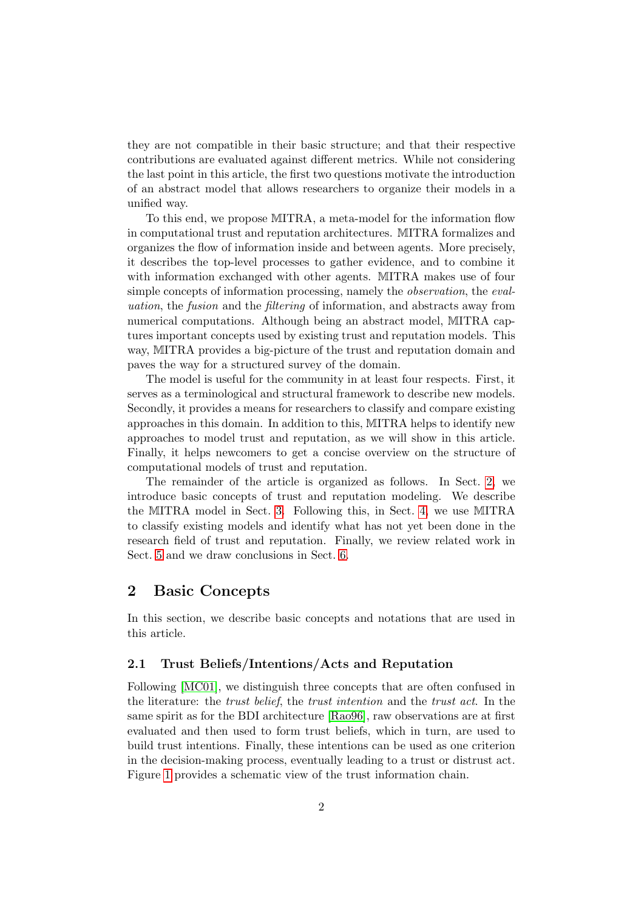they are not compatible in their basic structure; and that their respective contributions are evaluated against different metrics. While not considering the last point in this article, the first two questions motivate the introduction of an abstract model that allows researchers to organize their models in a unified way.

To this end, we propose MITRA, a meta-model for the information flow in computational trust and reputation architectures. MITRA formalizes and organizes the flow of information inside and between agents. More precisely, it describes the top-level processes to gather evidence, and to combine it with information exchanged with other agents. MITRA makes use of four simple concepts of information processing, namely the *observation*, the *eval*uation, the fusion and the filtering of information, and abstracts away from numerical computations. Although being an abstract model, MITRA captures important concepts used by existing trust and reputation models. This way, MITRA provides a big-picture of the trust and reputation domain and paves the way for a structured survey of the domain.

The model is useful for the community in at least four respects. First, it serves as a terminological and structural framework to describe new models. Secondly, it provides a means for researchers to classify and compare existing approaches in this domain. In addition to this, MITRA helps to identify new approaches to model trust and reputation, as we will show in this article. Finally, it helps newcomers to get a concise overview on the structure of computational models of trust and reputation.

The remainder of the article is organized as follows. In Sect. [2,](#page-1-0) we introduce basic concepts of trust and reputation modeling. We describe the MITRA model in Sect. [3.](#page-4-0) Following this, in Sect. [4,](#page-10-0) we use MITRA to classify existing models and identify what has not yet been done in the research field of trust and reputation. Finally, we review related work in Sect. [5](#page-13-0) and we draw conclusions in Sect. [6.](#page-13-1)

### <span id="page-1-0"></span>2 Basic Concepts

In this section, we describe basic concepts and notations that are used in this article.

#### 2.1 Trust Beliefs/Intentions/Acts and Reputation

Following [\[MC01\]](#page-16-0), we distinguish three concepts that are often confused in the literature: the trust belief, the trust intention and the trust act. In the same spirit as for the BDI architecture [\[Rao96\]](#page-16-1), raw observations are at first evaluated and then used to form trust beliefs, which in turn, are used to build trust intentions. Finally, these intentions can be used as one criterion in the decision-making process, eventually leading to a trust or distrust act. Figure [1](#page-2-0) provides a schematic view of the trust information chain.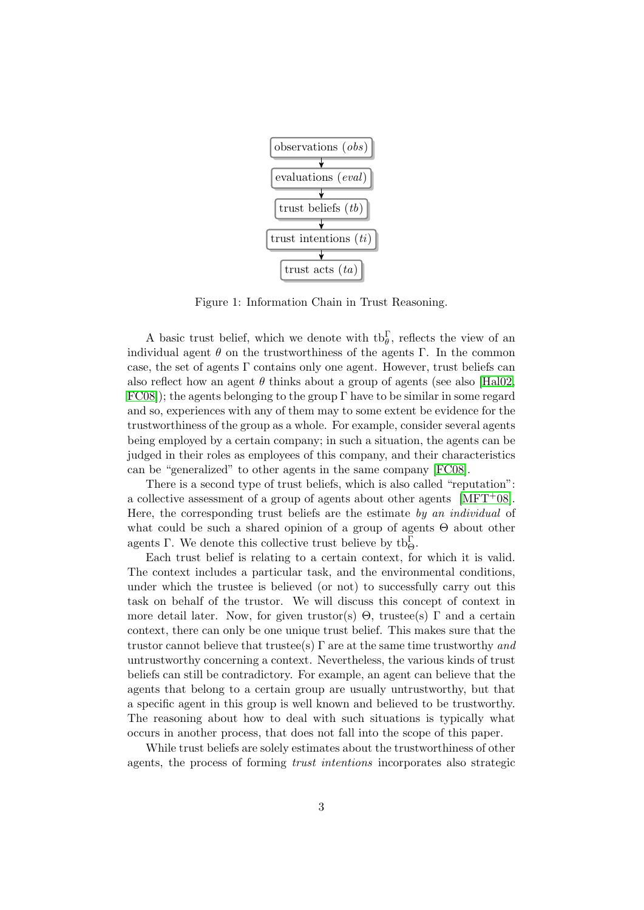

<span id="page-2-0"></span>Figure 1: Information Chain in Trust Reasoning.

A basic trust belief, which we denote with  $\text{tb}_{\theta}^{\Gamma}$ , reflects the view of an individual agent  $\theta$  on the trustworthiness of the agents Γ. In the common case, the set of agents  $\Gamma$  contains only one agent. However, trust beliefs can also reflect how an agent  $\theta$  thinks about a group of agents (see also [\[Hal02,](#page-15-0)  $FC08$ ); the agents belonging to the group Γ have to be similar in some regard and so, experiences with any of them may to some extent be evidence for the trustworthiness of the group as a whole. For example, consider several agents being employed by a certain company; in such a situation, the agents can be judged in their roles as employees of this company, and their characteristics can be "generalized" to other agents in the same company [\[FC08\]](#page-15-1).

There is a second type of trust beliefs, which is also called "reputation": a collective assessment of a group of agents about other agents  $[MFT<sup>+</sup>08]$ . Here, the corresponding trust beliefs are the estimate by an individual of what could be such a shared opinion of a group of agents Θ about other agents  $\Gamma$ . We denote this collective trust believe by  $\text{tb}_{\Theta}^{\Gamma}$ .

Each trust belief is relating to a certain context, for which it is valid. The context includes a particular task, and the environmental conditions, under which the trustee is believed (or not) to successfully carry out this task on behalf of the trustor. We will discuss this concept of context in more detail later. Now, for given trustor(s)  $\Theta$ , trustee(s)  $\Gamma$  and a certain context, there can only be one unique trust belief. This makes sure that the trustor cannot believe that trustee(s)  $\Gamma$  are at the same time trustworthy and untrustworthy concerning a context. Nevertheless, the various kinds of trust beliefs can still be contradictory. For example, an agent can believe that the agents that belong to a certain group are usually untrustworthy, but that a specific agent in this group is well known and believed to be trustworthy. The reasoning about how to deal with such situations is typically what occurs in another process, that does not fall into the scope of this paper.

While trust beliefs are solely estimates about the trustworthiness of other agents, the process of forming trust intentions incorporates also strategic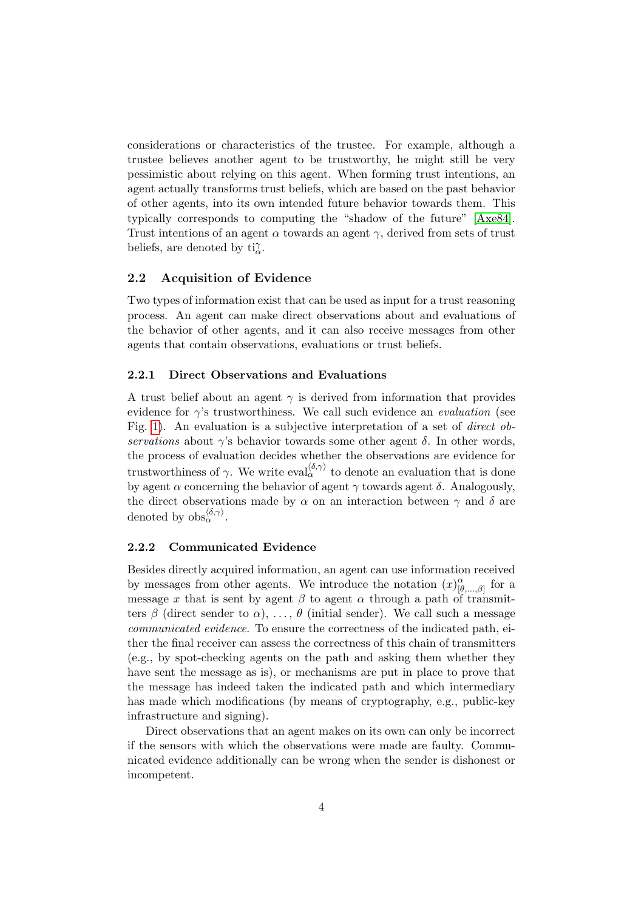considerations or characteristics of the trustee. For example, although a trustee believes another agent to be trustworthy, he might still be very pessimistic about relying on this agent. When forming trust intentions, an agent actually transforms trust beliefs, which are based on the past behavior of other agents, into its own intended future behavior towards them. This typically corresponds to computing the "shadow of the future" [\[Axe84\]](#page-14-0). Trust intentions of an agent  $\alpha$  towards an agent  $\gamma$ , derived from sets of trust beliefs, are denoted by  $\mathrm{ti}^{\gamma}_{\alpha}$ .

#### 2.2 Acquisition of Evidence

Two types of information exist that can be used as input for a trust reasoning process. An agent can make direct observations about and evaluations of the behavior of other agents, and it can also receive messages from other agents that contain observations, evaluations or trust beliefs.

#### 2.2.1 Direct Observations and Evaluations

A trust belief about an agent  $\gamma$  is derived from information that provides evidence for  $\gamma$ 's trustworthiness. We call such evidence an *evaluation* (see Fig. [1\)](#page-2-0). An evaluation is a subjective interpretation of a set of direct observations about  $\gamma$ 's behavior towards some other agent  $\delta$ . In other words, the process of evaluation decides whether the observations are evidence for trustworthiness of  $\gamma$ . We write eval $\langle \delta, \gamma \rangle$  to denote an evaluation that is done by agent  $\alpha$  concerning the behavior of agent  $\gamma$  towards agent  $\delta$ . Analogously, the direct observations made by  $\alpha$  on an interaction between  $\gamma$  and  $\delta$  are denoted by  $obs_{\alpha}^{\langle \delta, \gamma \rangle}$ .

#### 2.2.2 Communicated Evidence

Besides directly acquired information, an agent can use information received by messages from other agents. We introduce the notation  $(x)_{\mu}^{\alpha}$  $\alpha_{\lbrack \theta ,...,\beta]}^{\alpha}$  for a message x that is sent by agent  $\beta$  to agent  $\alpha$  through a path of transmitters  $\beta$  (direct sender to  $\alpha$ ), ...,  $\theta$  (initial sender). We call such a message communicated evidence. To ensure the correctness of the indicated path, either the final receiver can assess the correctness of this chain of transmitters (e.g., by spot-checking agents on the path and asking them whether they have sent the message as is), or mechanisms are put in place to prove that the message has indeed taken the indicated path and which intermediary has made which modifications (by means of cryptography, e.g., public-key infrastructure and signing).

Direct observations that an agent makes on its own can only be incorrect if the sensors with which the observations were made are faulty. Communicated evidence additionally can be wrong when the sender is dishonest or incompetent.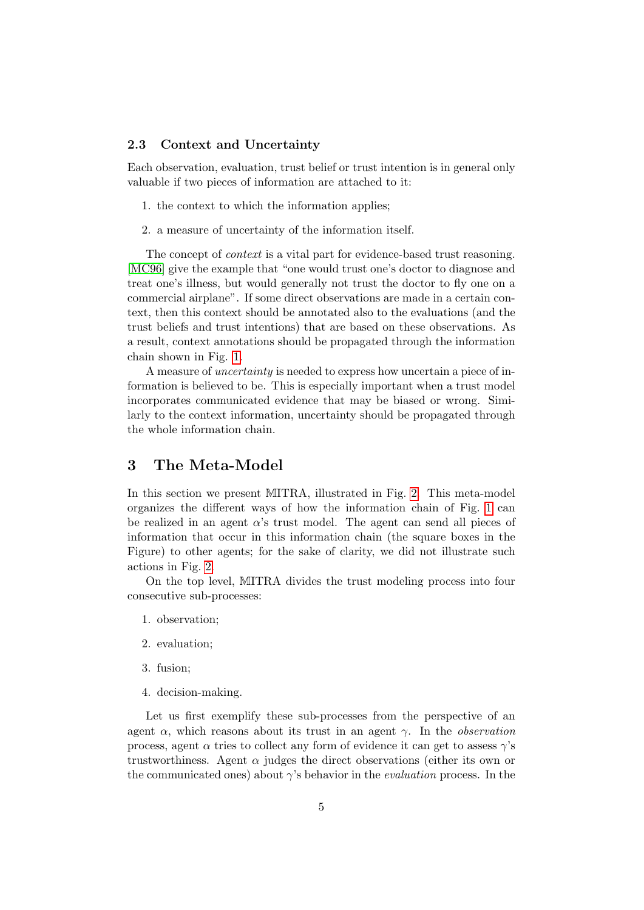#### <span id="page-4-1"></span>2.3 Context and Uncertainty

Each observation, evaluation, trust belief or trust intention is in general only valuable if two pieces of information are attached to it:

- 1. the context to which the information applies;
- 2. a measure of uncertainty of the information itself.

The concept of *context* is a vital part for evidence-based trust reasoning. [\[MC96\]](#page-16-3) give the example that "one would trust one's doctor to diagnose and treat one's illness, but would generally not trust the doctor to fly one on a commercial airplane". If some direct observations are made in a certain context, then this context should be annotated also to the evaluations (and the trust beliefs and trust intentions) that are based on these observations. As a result, context annotations should be propagated through the information chain shown in Fig. [1.](#page-2-0)

A measure of uncertainty is needed to express how uncertain a piece of information is believed to be. This is especially important when a trust model incorporates communicated evidence that may be biased or wrong. Similarly to the context information, uncertainty should be propagated through the whole information chain.

## <span id="page-4-0"></span>3 The Meta-Model

In this section we present MITRA, illustrated in Fig. [2.](#page-5-0) This meta-model organizes the different ways of how the information chain of Fig. [1](#page-2-0) can be realized in an agent  $\alpha$ 's trust model. The agent can send all pieces of information that occur in this information chain (the square boxes in the Figure) to other agents; for the sake of clarity, we did not illustrate such actions in Fig. [2.](#page-5-0)

On the top level, MITRA divides the trust modeling process into four consecutive sub-processes:

- 1. observation;
- 2. evaluation;
- 3. fusion;
- 4. decision-making.

Let us first exemplify these sub-processes from the perspective of an agent  $\alpha$ , which reasons about its trust in an agent  $\gamma$ . In the *observation* process, agent  $\alpha$  tries to collect any form of evidence it can get to assess  $\gamma$ 's trustworthiness. Agent  $\alpha$  judges the direct observations (either its own or the communicated ones) about  $\gamma$ 's behavior in the *evaluation* process. In the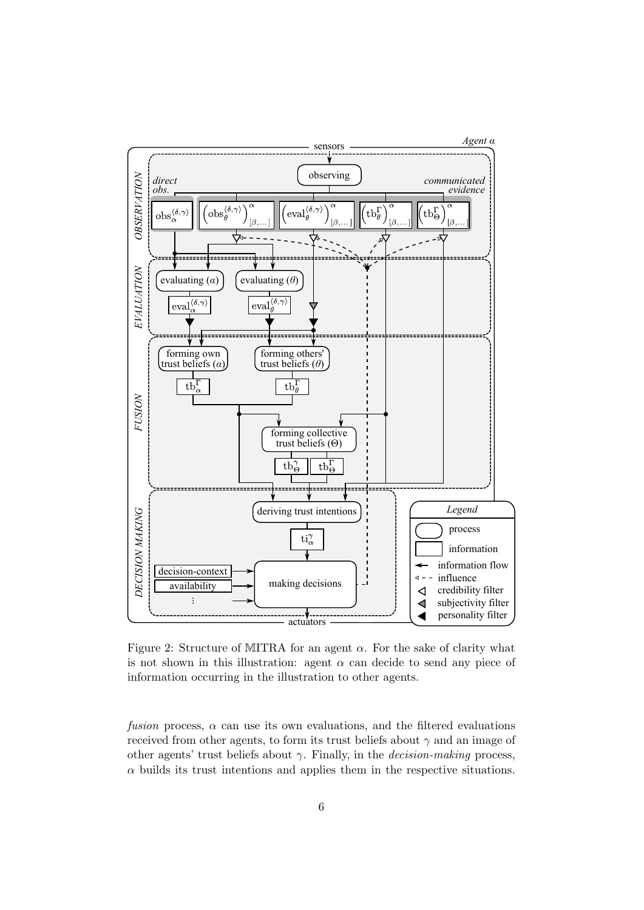

<span id="page-5-0"></span>Figure 2: Structure of MITRA for an agent  $\alpha$ . For the sake of clarity what is not shown in this illustration: agent  $\alpha$  can decide to send any piece of information occurring in the illustration to other agents.

fusion process,  $\alpha$  can use its own evaluations, and the filtered evaluations received from other agents, to form its trust beliefs about  $\gamma$  and an image of other agents' trust beliefs about  $\gamma$ . Finally, in the *decision-making* process,  $\alpha$  builds its trust intentions and applies them in the respective situations.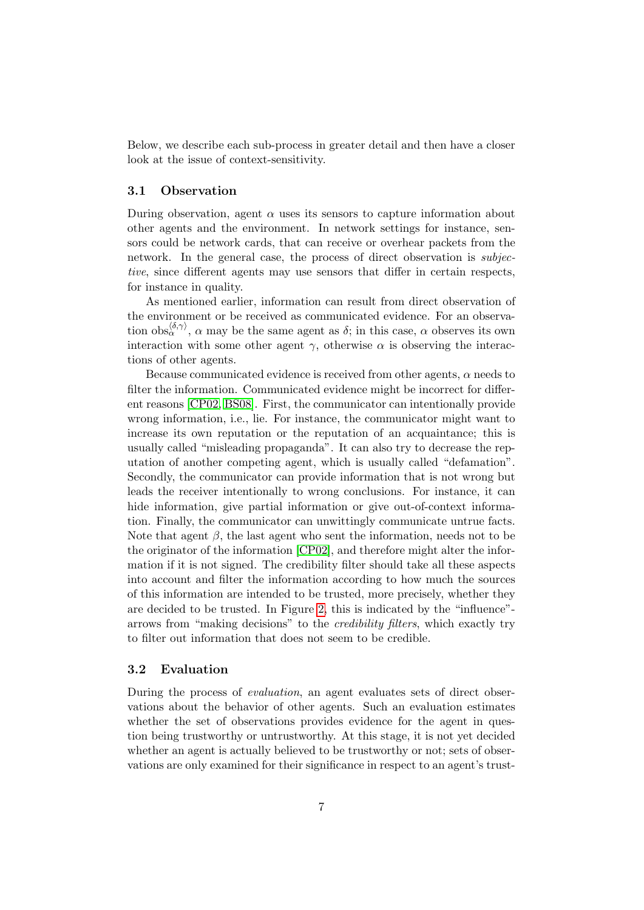Below, we describe each sub-process in greater detail and then have a closer look at the issue of context-sensitivity.

#### 3.1 Observation

During observation, agent  $\alpha$  uses its sensors to capture information about other agents and the environment. In network settings for instance, sensors could be network cards, that can receive or overhear packets from the network. In the general case, the process of direct observation is *subjec*tive, since different agents may use sensors that differ in certain respects, for instance in quality.

As mentioned earlier, information can result from direct observation of the environment or be received as communicated evidence. For an observation  $obs_{\alpha}^{\langle \delta,\gamma \rangle}$ ,  $\alpha$  may be the same agent as  $\delta$ ; in this case,  $\alpha$  observes its own interaction with some other agent  $\gamma$ , otherwise  $\alpha$  is observing the interactions of other agents.

Because communicated evidence is received from other agents,  $\alpha$  needs to filter the information. Communicated evidence might be incorrect for different reasons [\[CP02,](#page-14-1) [BS08\]](#page-14-2). First, the communicator can intentionally provide wrong information, i.e., lie. For instance, the communicator might want to increase its own reputation or the reputation of an acquaintance; this is usually called "misleading propaganda". It can also try to decrease the reputation of another competing agent, which is usually called "defamation". Secondly, the communicator can provide information that is not wrong but leads the receiver intentionally to wrong conclusions. For instance, it can hide information, give partial information or give out-of-context information. Finally, the communicator can unwittingly communicate untrue facts. Note that agent  $\beta$ , the last agent who sent the information, needs not to be the originator of the information [\[CP02\]](#page-14-1), and therefore might alter the information if it is not signed. The credibility filter should take all these aspects into account and filter the information according to how much the sources of this information are intended to be trusted, more precisely, whether they are decided to be trusted. In Figure [2,](#page-5-0) this is indicated by the "influence" arrows from "making decisions" to the credibility filters, which exactly try to filter out information that does not seem to be credible.

#### 3.2 Evaluation

During the process of evaluation, an agent evaluates sets of direct observations about the behavior of other agents. Such an evaluation estimates whether the set of observations provides evidence for the agent in question being trustworthy or untrustworthy. At this stage, it is not yet decided whether an agent is actually believed to be trustworthy or not; sets of observations are only examined for their significance in respect to an agent's trust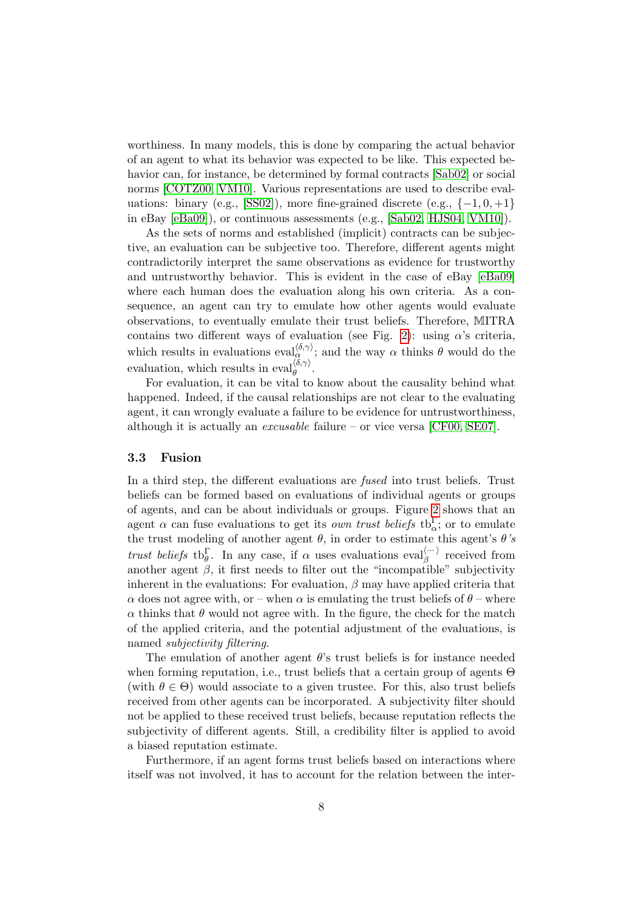worthiness. In many models, this is done by comparing the actual behavior of an agent to what its behavior was expected to be like. This expected behavior can, for instance, be determined by formal contracts [\[Sab02\]](#page-17-0) or social norms [\[COTZ00,](#page-14-3) [VM10\]](#page-18-0). Various representations are used to describe eval-uations: binary (e.g., [\[SS02\]](#page-17-1)), more fine-grained discrete (e.g.,  $\{-1, 0, +1\}$ in eBay [\[eBa09\]](#page-15-2)), or continuous assessments (e.g., [\[Sab02,](#page-17-0) [HJS04,](#page-15-3) [VM10\]](#page-18-0)).

As the sets of norms and established (implicit) contracts can be subjective, an evaluation can be subjective too. Therefore, different agents might contradictorily interpret the same observations as evidence for trustworthy and untrustworthy behavior. This is evident in the case of eBay [\[eBa09\]](#page-15-2) where each human does the evaluation along his own criteria. As a consequence, an agent can try to emulate how other agents would evaluate observations, to eventually emulate their trust beliefs. Therefore, MITRA contains two different ways of evaluation (see Fig. [2\)](#page-5-0): using  $\alpha$ 's criteria, which results in evaluations  $eval_{\alpha}^{\langle \delta,\gamma \rangle}$ ; and the way  $\alpha$  thinks  $\theta$  would do the evaluation, which results in  $eval_{\theta}^{\langle \delta,\gamma \rangle}$ .

For evaluation, it can be vital to know about the causality behind what happened. Indeed, if the causal relationships are not clear to the evaluating agent, it can wrongly evaluate a failure to be evidence for untrustworthiness, although it is actually an *excusable* failure – or vice versa [\[CF00,](#page-14-4) [SE07\]](#page-17-2).

#### 3.3 Fusion

In a third step, the different evaluations are fused into trust beliefs. Trust beliefs can be formed based on evaluations of individual agents or groups of agents, and can be about individuals or groups. Figure [2](#page-5-0) shows that an agent  $\alpha$  can fuse evaluations to get its *own trust beliefs* tb<sub>a</sub><sup>c</sup>; or to emulate the trust modeling of another agent  $\theta$ , in order to estimate this agent's  $\theta$ 's trust beliefs the  $\mathbf{b}_{\theta}^{\Gamma}$ . In any case, if  $\alpha$  uses evaluations eval $_{\beta}^{(\cdots)}$  received from another agent  $\beta$ , it first needs to filter out the "incompatible" subjectivity inherent in the evaluations: For evaluation,  $\beta$  may have applied criteria that  $\alpha$  does not agree with, or – when  $\alpha$  is emulating the trust beliefs of  $\theta$  – where  $\alpha$  thinks that  $\theta$  would not agree with. In the figure, the check for the match of the applied criteria, and the potential adjustment of the evaluations, is named subjectivity filtering.

The emulation of another agent  $\theta$ 's trust beliefs is for instance needed when forming reputation, i.e., trust beliefs that a certain group of agents Θ (with  $\theta \in \Theta$ ) would associate to a given trustee. For this, also trust beliefs received from other agents can be incorporated. A subjectivity filter should not be applied to these received trust beliefs, because reputation reflects the subjectivity of different agents. Still, a credibility filter is applied to avoid a biased reputation estimate.

Furthermore, if an agent forms trust beliefs based on interactions where itself was not involved, it has to account for the relation between the inter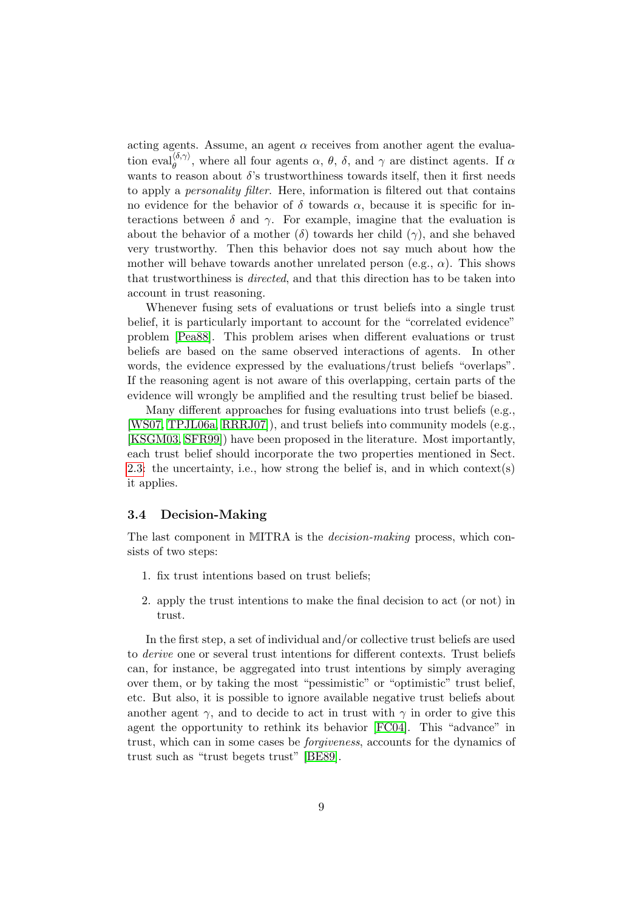acting agents. Assume, an agent  $\alpha$  receives from another agent the evaluation eval $\phi_{\theta}^{(\delta,\gamma)}$ , where all four agents  $\alpha$ ,  $\theta$ ,  $\delta$ , and  $\gamma$  are distinct agents. If  $\alpha$ wants to reason about  $\delta$ 's trustworthiness towards itself, then it first needs to apply a personality filter. Here, information is filtered out that contains no evidence for the behavior of  $\delta$  towards  $\alpha$ , because it is specific for interactions between  $\delta$  and  $\gamma$ . For example, imagine that the evaluation is about the behavior of a mother  $(\delta)$  towards her child  $(\gamma)$ , and she behaved very trustworthy. Then this behavior does not say much about how the mother will behave towards another unrelated person (e.g.,  $\alpha$ ). This shows that trustworthiness is *directed*, and that this direction has to be taken into account in trust reasoning.

Whenever fusing sets of evaluations or trust beliefs into a single trust belief, it is particularly important to account for the "correlated evidence" problem [\[Pea88\]](#page-16-4). This problem arises when different evaluations or trust beliefs are based on the same observed interactions of agents. In other words, the evidence expressed by the evaluations/trust beliefs "overlaps". If the reasoning agent is not aware of this overlapping, certain parts of the evidence will wrongly be amplified and the resulting trust belief be biased.

Many different approaches for fusing evaluations into trust beliefs (e.g., [\[WS07,](#page-18-1) [TPJL06a,](#page-17-3) [RRRJ07\]](#page-17-4)), and trust beliefs into community models (e.g., [\[KSGM03,](#page-16-5) [SFR99\]](#page-17-5)) have been proposed in the literature. Most importantly, each trust belief should incorporate the two properties mentioned in Sect. [2.3:](#page-4-1) the uncertainty, i.e., how strong the belief is, and in which context(s) it applies.

#### 3.4 Decision-Making

The last component in MITRA is the *decision-making* process, which consists of two steps:

- 1. fix trust intentions based on trust beliefs;
- 2. apply the trust intentions to make the final decision to act (or not) in trust.

In the first step, a set of individual and/or collective trust beliefs are used to derive one or several trust intentions for different contexts. Trust beliefs can, for instance, be aggregated into trust intentions by simply averaging over them, or by taking the most "pessimistic" or "optimistic" trust belief, etc. But also, it is possible to ignore available negative trust beliefs about another agent  $\gamma$ , and to decide to act in trust with  $\gamma$  in order to give this agent the opportunity to rethink its behavior [\[FC04\]](#page-15-4). This "advance" in trust, which can in some cases be forgiveness, accounts for the dynamics of trust such as "trust begets trust" [\[BE89\]](#page-14-5).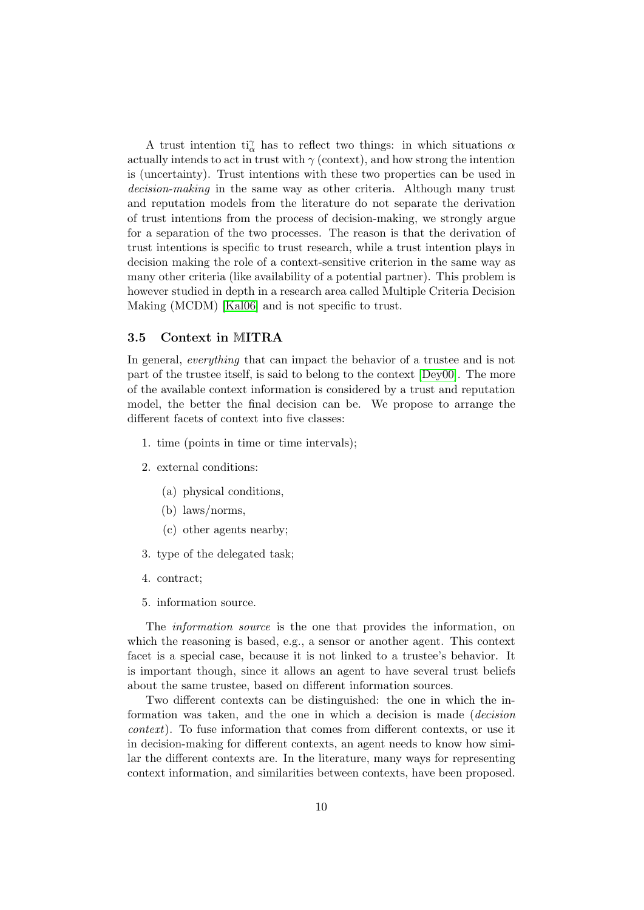A trust intention  $\mathrm{ti}_{\alpha}^{\gamma}$  has to reflect two things: in which situations  $\alpha$ actually intends to act in trust with  $\gamma$  (context), and how strong the intention is (uncertainty). Trust intentions with these two properties can be used in decision-making in the same way as other criteria. Although many trust and reputation models from the literature do not separate the derivation of trust intentions from the process of decision-making, we strongly argue for a separation of the two processes. The reason is that the derivation of trust intentions is specific to trust research, while a trust intention plays in decision making the role of a context-sensitive criterion in the same way as many other criteria (like availability of a potential partner). This problem is however studied in depth in a research area called Multiple Criteria Decision Making (MCDM) [\[Kal06\]](#page-15-5) and is not specific to trust.

#### 3.5 Context in MITRA

In general, everything that can impact the behavior of a trustee and is not part of the trustee itself, is said to belong to the context [\[Dey00\]](#page-15-6). The more of the available context information is considered by a trust and reputation model, the better the final decision can be. We propose to arrange the different facets of context into five classes:

- 1. time (points in time or time intervals);
- 2. external conditions:
	- (a) physical conditions,
	- (b) laws/norms,
	- (c) other agents nearby;
- 3. type of the delegated task;
- 4. contract;
- 5. information source.

The *information source* is the one that provides the information, on which the reasoning is based, e.g., a sensor or another agent. This context facet is a special case, because it is not linked to a trustee's behavior. It is important though, since it allows an agent to have several trust beliefs about the same trustee, based on different information sources.

Two different contexts can be distinguished: the one in which the information was taken, and the one in which a decision is made (decision context). To fuse information that comes from different contexts, or use it in decision-making for different contexts, an agent needs to know how similar the different contexts are. In the literature, many ways for representing context information, and similarities between contexts, have been proposed.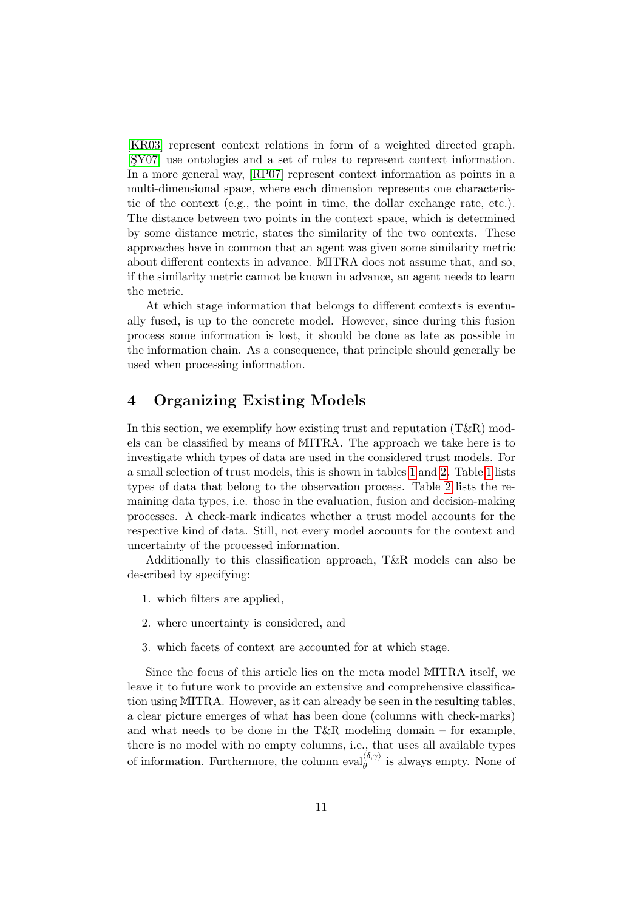[\[KR03\]](#page-15-7) represent context relations in form of a weighted directed graph. [SY07] use ontologies and a set of rules to represent context information. In a more general way, [\[RP07\]](#page-16-6) represent context information as points in a multi-dimensional space, where each dimension represents one characteristic of the context (e.g., the point in time, the dollar exchange rate, etc.). The distance between two points in the context space, which is determined by some distance metric, states the similarity of the two contexts. These approaches have in common that an agent was given some similarity metric about different contexts in advance. MITRA does not assume that, and so, if the similarity metric cannot be known in advance, an agent needs to learn the metric.

At which stage information that belongs to different contexts is eventually fused, is up to the concrete model. However, since during this fusion process some information is lost, it should be done as late as possible in the information chain. As a consequence, that principle should generally be used when processing information.

## <span id="page-10-0"></span>4 Organizing Existing Models

In this section, we exemplify how existing trust and reputation  $(T\&R)$  models can be classified by means of MITRA. The approach we take here is to investigate which types of data are used in the considered trust models. For a small selection of trust models, this is shown in tables [1](#page-11-0) and [2.](#page-12-0) Table [1](#page-11-0) lists types of data that belong to the observation process. Table [2](#page-12-0) lists the remaining data types, i.e. those in the evaluation, fusion and decision-making processes. A check-mark indicates whether a trust model accounts for the respective kind of data. Still, not every model accounts for the context and uncertainty of the processed information.

Additionally to this classification approach, T&R models can also be described by specifying:

- 1. which filters are applied,
- 2. where uncertainty is considered, and
- 3. which facets of context are accounted for at which stage.

Since the focus of this article lies on the meta model MITRA itself, we leave it to future work to provide an extensive and comprehensive classification using MITRA. However, as it can already be seen in the resulting tables, a clear picture emerges of what has been done (columns with check-marks) and what needs to be done in the T&R modeling domain – for example, there is no model with no empty columns, i.e., that uses all available types of information. Furthermore, the column  $eval_{\theta}^{\langle \delta,\gamma \rangle}$  is always empty. None of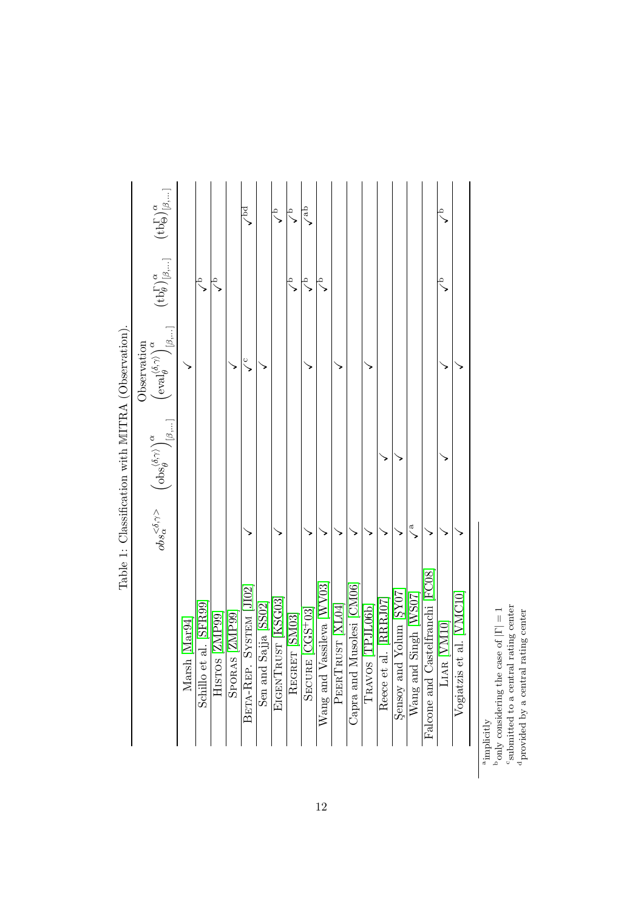<span id="page-11-0"></span>

|                                                  | $\left(\text{tb}_\Theta^\Gamma\right)^\alpha_{[\beta,\dots]}$                                                                        |               |                        |                 |                | $\frac{1}{2}$            |                         | $\frac{1}{\sqrt{2}}$ | $\circ$       | $\sqrt{ab}$          |                           |                  |                           |                  |                          |                         |                          |                                  | ᢩ           |                                        |
|--------------------------------------------------|--------------------------------------------------------------------------------------------------------------------------------------|---------------|------------------------|-----------------|----------------|--------------------------|-------------------------|----------------------|---------------|----------------------|---------------------------|------------------|---------------------------|------------------|--------------------------|-------------------------|--------------------------|----------------------------------|-------------|----------------------------------------|
| Table 1: Classification with MITRA (Observation) | $\left(\text{tb}\substack{\Gamma\\b}\right)^\alpha_{[\beta,\dots]}$                                                                  |               | ë                      | ó               |                |                          |                         |                      |               | $\frac{1}{\sqrt{2}}$ | á                         |                  |                           |                  |                          |                         |                          |                                  | Ω           |                                        |
|                                                  | $\mathcal{N}[\beta,]$<br>Observation<br>$\left(\mathrm{eval}^{\langle\delta,\gamma\rangle}_\theta\right)^{\alpha}_{\cdot\cdot\cdot}$ |               |                        |                 |                | $\frac{c}{c}$            |                         |                      |               |                      |                           |                  |                           |                  |                          |                         |                          |                                  |             |                                        |
|                                                  | $\mathcal{N}_{[\beta,]}$<br>$\left( \mathrm{obs}^{\langle \delta, \gamma \rangle}_\theta \right)^{\alpha}_{\cdot \cdot \cdot}$       |               |                        |                 |                |                          |                         |                      |               |                      |                           |                  |                           |                  |                          |                         |                          |                                  |             |                                        |
|                                                  | $obs_{\alpha}^{<\delta,\gamma>}$                                                                                                     |               |                        |                 |                |                          |                         |                      |               |                      |                           |                  |                           |                  |                          |                         | $\frac{a}{b}$            |                                  |             |                                        |
|                                                  |                                                                                                                                      | Marsh [Mar94] | Schillo et al. [SFR99] | [66 dNZ] SOLSIH | SPORAS [ZMP99] | SYSTEM JI02<br>BETA-REP. | Sajja [SS02]<br>Sen and | EIGENTRUST [KSG03]   | REGRET [SM03] | SECURE [CGS+03]      | Wang and Vassileva [WV03] | PEERTRUST [XL04] | Capra and Musolesi [CM06] | TRAVOS [TPJL06b] | al. [RRRJ07]<br>Reece et | Sensoy and Yolum [SY07] | Singh [WS07]<br>Wang and | Falcone and Castelfranchi [FC08] | LIAR [VM10] | et al. [VMC10]<br>Vogiatzis $\epsilon$ |

<sup>a</sup><br>implicitly bonly considering the case of  $|\Gamma| = 1$  is<br>abmitted to a central rating center provided by a central rating center  $_{\rm p}^{\rm b}$  only considering the case of  $|\Gamma|=1$ 

submitted to a central rating center dprovided by a central rating center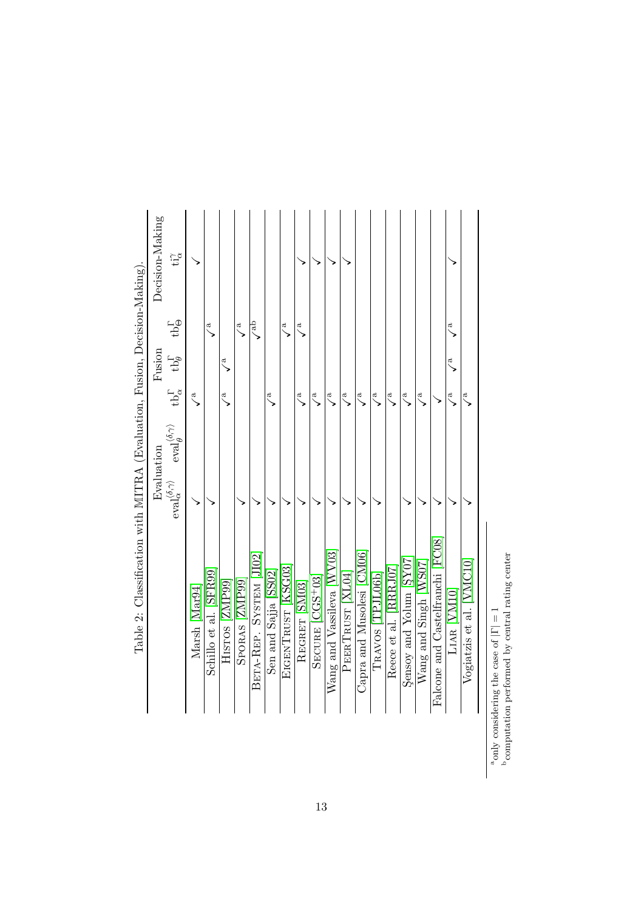<span id="page-12-0"></span>

|                                                                           | Decision-Making | $t^{\gamma}_{\alpha}$                                |             |                        |                |                |                           |                      |                    |               |                 |                           |                 |                           |                  |                       |                         |                       |                                  |                    |                          |
|---------------------------------------------------------------------------|-----------------|------------------------------------------------------|-------------|------------------------|----------------|----------------|---------------------------|----------------------|--------------------|---------------|-----------------|---------------------------|-----------------|---------------------------|------------------|-----------------------|-------------------------|-----------------------|----------------------------------|--------------------|--------------------------|
|                                                                           |                 | $t b \Theta$                                         |             | $\checkmark$           |                | $\searrow$     | $\sqrt{\phantom{a}^{ab}}$ |                      | ್                  | ಸ             |                 |                           |                 |                           |                  |                       |                         |                       |                                  | $\tilde{a}$        |                          |
|                                                                           | Fusion          | $tb^{\Gamma}_{\theta}$                               |             |                        | ಸ              |                |                           |                      |                    |               |                 |                           |                 |                           |                  |                       |                         |                       |                                  | $\tilde{\epsilon}$ |                          |
|                                                                           |                 | $\mathrm{tb}^{\Gamma}_{\alpha}$                      | $\tilde{a}$ |                        | ಥ              |                |                           | ್                    |                    | ್ಸ            | ್               | Ġ,                        | $\searrow$      | ್ಸ                        | $\tilde{c}$      | Ġ,                    | ನ                       | $\searrow$            |                                  | Ġ,                 | Ġ,                       |
|                                                                           |                 | $eval_{\theta}^{\langle \delta, \gamma \rangle}$     |             |                        |                |                |                           |                      |                    |               |                 |                           |                 |                           |                  |                       |                         |                       |                                  |                    |                          |
|                                                                           | Evaluation      | $\mathrm{eval}_\alpha^{\langle\delta,\gamma\rangle}$ |             |                        |                |                |                           |                      |                    |               |                 |                           |                 |                           |                  |                       |                         |                       |                                  |                    |                          |
| Table 2: Classification with MITRA (Evaluation, Fusion, Decision-Making). |                 |                                                      | Marsh Mar94 | Schillo et al. [SFR99] | HISTOS [ZMP99] | SPORAS [ZMP99] | BETA-REP. SYSTEM JI02     | Sen and Sajja [SS02] | EIGENTRUST [KSG03] | REGRET [SM03] | SECURE [CGS+03] | Wang and Vassileva [WV03] | PEERTRUST  XL04 | Capra and Musolesi [CM06] | TRAVOS [TPJL06b] | Reece et al. [RRRJ07] | Sensoy and Yolum [SY07] | Wang and Singh [WS07] | Falcone and Castelfranchi [FC08] | LIAR WM10          | Vogiatzis et al. [VMC10] |

 $^{\rm a}$  only considering the case of  $|\Gamma|=1$   $^{\rm b}$  computation performed by central rating center  $^{\rm b}$  computation performed by central rating center aonly considering the case of  $|\Gamma|=1$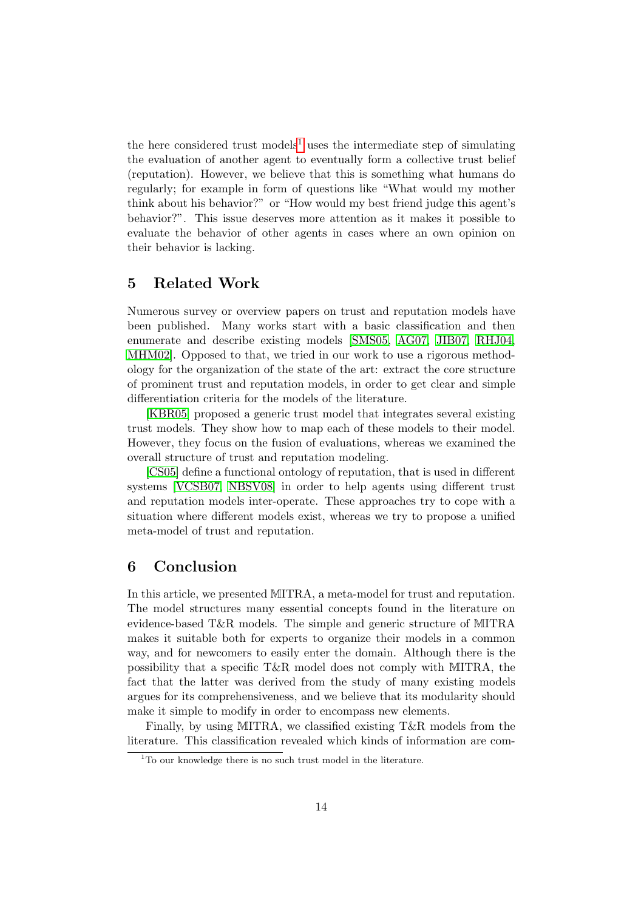the here considered trust models<sup>[1](#page-13-2)</sup> uses the intermediate step of simulating the evaluation of another agent to eventually form a collective trust belief (reputation). However, we believe that this is something what humans do regularly; for example in form of questions like "What would my mother think about his behavior?" or "How would my best friend judge this agent's behavior?". This issue deserves more attention as it makes it possible to evaluate the behavior of other agents in cases where an own opinion on their behavior is lacking.

# <span id="page-13-0"></span>5 Related Work

Numerous survey or overview papers on trust and reputation models have been published. Many works start with a basic classification and then enumerate and describe existing models [\[SMS05,](#page-17-9) [AG07,](#page-14-8) [JIB07,](#page-15-9) [RHJ04,](#page-16-9) [MHM02\]](#page-16-10). Opposed to that, we tried in our work to use a rigorous methodology for the organization of the state of the art: extract the core structure of prominent trust and reputation models, in order to get clear and simple differentiation criteria for the models of the literature.

[\[KBR05\]](#page-15-10) proposed a generic trust model that integrates several existing trust models. They show how to map each of these models to their model. However, they focus on the fusion of evaluations, whereas we examined the overall structure of trust and reputation modeling.

[\[CS05\]](#page-15-11) define a functional ontology of reputation, that is used in different systems [\[VCSB07,](#page-17-10) [NBSV08\]](#page-16-11) in order to help agents using different trust and reputation models inter-operate. These approaches try to cope with a situation where different models exist, whereas we try to propose a unified meta-model of trust and reputation.

# <span id="page-13-1"></span>6 Conclusion

In this article, we presented MITRA, a meta-model for trust and reputation. The model structures many essential concepts found in the literature on evidence-based T&R models. The simple and generic structure of MITRA makes it suitable both for experts to organize their models in a common way, and for newcomers to easily enter the domain. Although there is the possibility that a specific T&R model does not comply with MITRA, the fact that the latter was derived from the study of many existing models argues for its comprehensiveness, and we believe that its modularity should make it simple to modify in order to encompass new elements.

Finally, by using MITRA, we classified existing T&R models from the literature. This classification revealed which kinds of information are com-

<span id="page-13-2"></span><sup>&</sup>lt;sup>1</sup>To our knowledge there is no such trust model in the literature.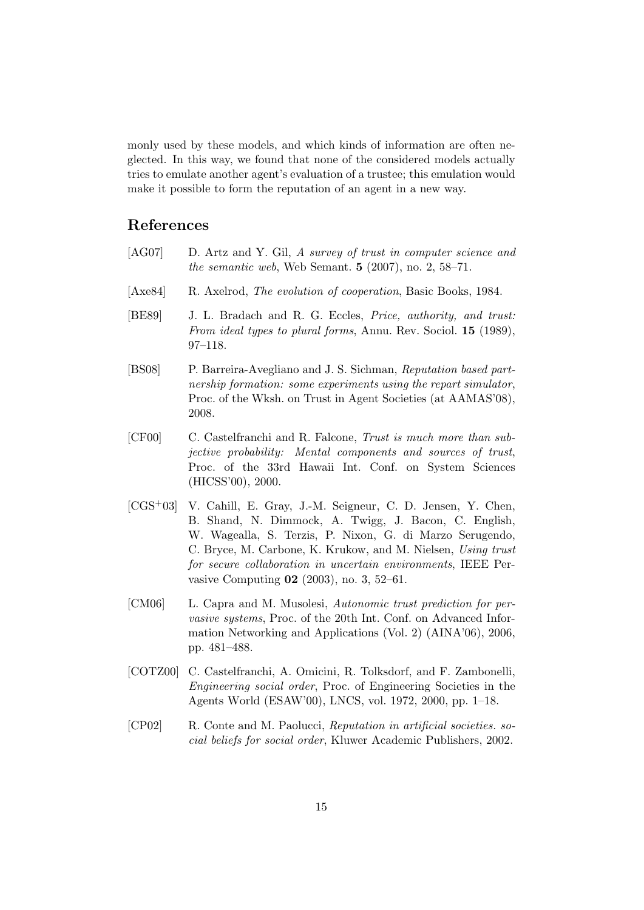monly used by these models, and which kinds of information are often neglected. In this way, we found that none of the considered models actually tries to emulate another agent's evaluation of a trustee; this emulation would make it possible to form the reputation of an agent in a new way.

## References

- <span id="page-14-8"></span>[AG07] D. Artz and Y. Gil, A survey of trust in computer science and the semantic web, Web Semant.  $5(2007)$ , no.  $2, 58-71$ .
- <span id="page-14-0"></span>[Axe84] R. Axelrod, *The evolution of cooperation*, Basic Books, 1984.
- <span id="page-14-5"></span>[BE89] J. L. Bradach and R. G. Eccles, Price, authority, and trust: From ideal types to plural forms, Annu. Rev. Sociol. **15** (1989), 97–118.
- <span id="page-14-2"></span>[BS08] P. Barreira-Avegliano and J. S. Sichman, Reputation based partnership formation: some experiments using the repart simulator, Proc. of the Wksh. on Trust in Agent Societies (at AAMAS'08), 2008.
- <span id="page-14-4"></span>[CF00] C. Castelfranchi and R. Falcone, Trust is much more than subjective probability: Mental components and sources of trust, Proc. of the 33rd Hawaii Int. Conf. on System Sciences (HICSS'00), 2000.
- <span id="page-14-6"></span>[CGS+03] V. Cahill, E. Gray, J.-M. Seigneur, C. D. Jensen, Y. Chen, B. Shand, N. Dimmock, A. Twigg, J. Bacon, C. English, W. Wagealla, S. Terzis, P. Nixon, G. di Marzo Serugendo, C. Bryce, M. Carbone, K. Krukow, and M. Nielsen, Using trust for secure collaboration in uncertain environments, IEEE Pervasive Computing 02 (2003), no. 3, 52–61.
- <span id="page-14-7"></span>[CM06] L. Capra and M. Musolesi, Autonomic trust prediction for pervasive systems, Proc. of the 20th Int. Conf. on Advanced Information Networking and Applications (Vol. 2) (AINA'06), 2006, pp. 481–488.
- <span id="page-14-3"></span>[COTZ00] C. Castelfranchi, A. Omicini, R. Tolksdorf, and F. Zambonelli, Engineering social order, Proc. of Engineering Societies in the Agents World (ESAW'00), LNCS, vol. 1972, 2000, pp. 1–18.
- <span id="page-14-1"></span>[CP02] R. Conte and M. Paolucci, Reputation in artificial societies. social beliefs for social order, Kluwer Academic Publishers, 2002.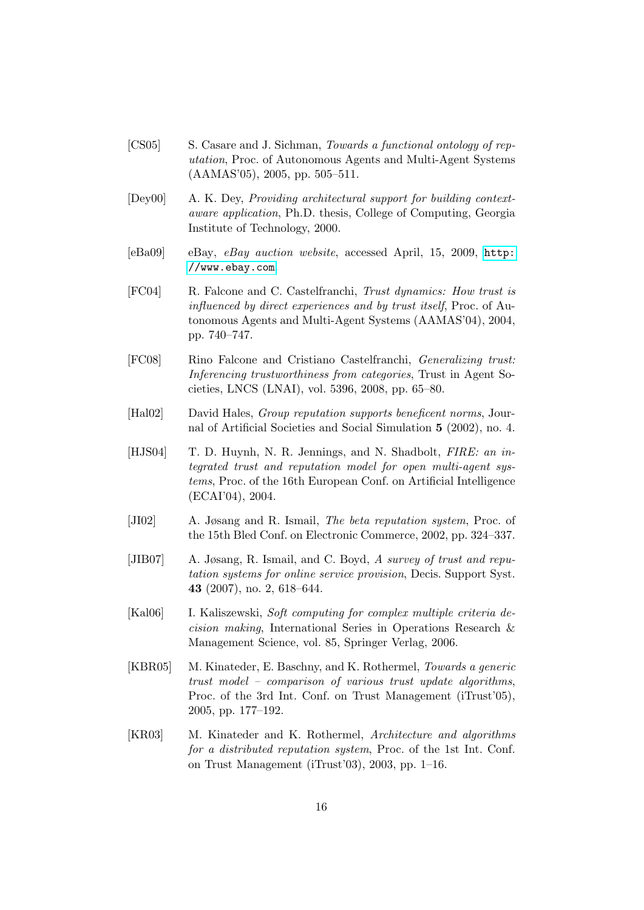- <span id="page-15-11"></span>[CS05] S. Casare and J. Sichman, Towards a functional ontology of reputation, Proc. of Autonomous Agents and Multi-Agent Systems (AAMAS'05), 2005, pp. 505–511.
- <span id="page-15-6"></span>[Dey00] A. K. Dey, Providing architectural support for building contextaware application, Ph.D. thesis, College of Computing, Georgia Institute of Technology, 2000.
- <span id="page-15-2"></span>[eBa09] eBay, eBay auction website, accessed April, 15, 2009, [http:](http://www.ebay.com) [//www.ebay.com](http://www.ebay.com).
- <span id="page-15-4"></span>[FC04] R. Falcone and C. Castelfranchi, Trust dynamics: How trust is influenced by direct experiences and by trust itself, Proc. of Autonomous Agents and Multi-Agent Systems (AAMAS'04), 2004, pp. 740–747.
- <span id="page-15-1"></span>[FC08] Rino Falcone and Cristiano Castelfranchi, Generalizing trust: Inferencing trustworthiness from categories, Trust in Agent Societies, LNCS (LNAI), vol. 5396, 2008, pp. 65–80.
- <span id="page-15-0"></span>[Hal02] David Hales, Group reputation supports beneficent norms, Journal of Artificial Societies and Social Simulation 5 (2002), no. 4.
- <span id="page-15-3"></span>[HJS04] T. D. Huynh, N. R. Jennings, and N. Shadbolt, *FIRE: an in*tegrated trust and reputation model for open multi-agent systems, Proc. of the 16th European Conf. on Artificial Intelligence (ECAI'04), 2004.
- <span id="page-15-8"></span>[JI02] A. Jøsang and R. Ismail, The beta reputation system, Proc. of the 15th Bled Conf. on Electronic Commerce, 2002, pp. 324–337.
- <span id="page-15-9"></span>[JIB07] A. Jøsang, R. Ismail, and C. Boyd, A survey of trust and reputation systems for online service provision, Decis. Support Syst. 43 (2007), no. 2, 618–644.
- <span id="page-15-5"></span>[Kal06] I. Kaliszewski, Soft computing for complex multiple criteria decision making, International Series in Operations Research & Management Science, vol. 85, Springer Verlag, 2006.
- <span id="page-15-10"></span>[KBR05] M. Kinateder, E. Baschny, and K. Rothermel, Towards a generic trust model – comparison of various trust update algorithms, Proc. of the 3rd Int. Conf. on Trust Management (iTrust'05), 2005, pp. 177–192.
- <span id="page-15-7"></span>[KR03] M. Kinateder and K. Rothermel, Architecture and algorithms for a distributed reputation system, Proc. of the 1st Int. Conf. on Trust Management (iTrust'03), 2003, pp. 1–16.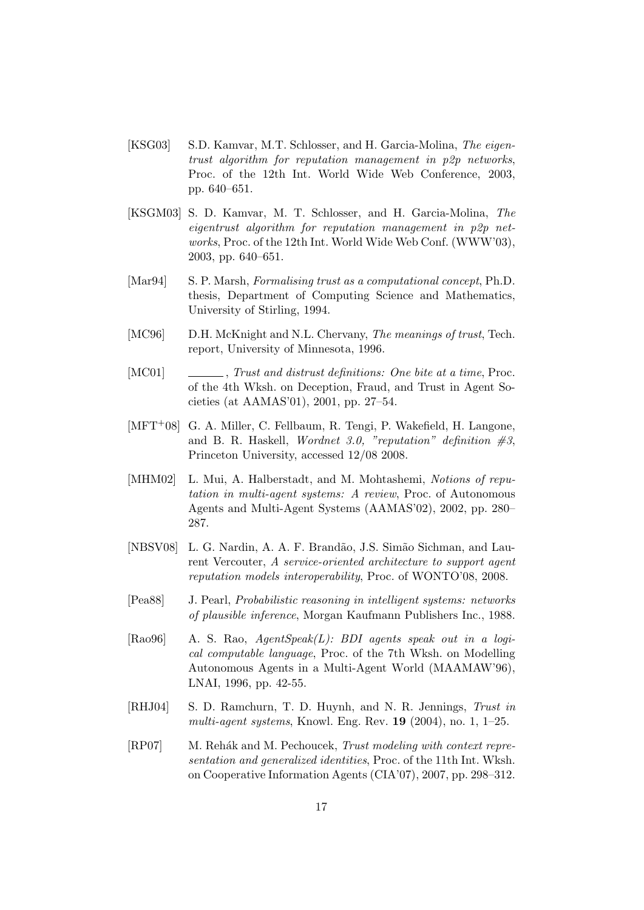- <span id="page-16-8"></span>[KSG03] S.D. Kamvar, M.T. Schlosser, and H. Garcia-Molina, The eigentrust algorithm for reputation management in p2p networks, Proc. of the 12th Int. World Wide Web Conference, 2003, pp. 640–651.
- <span id="page-16-5"></span>[KSGM03] S. D. Kamvar, M. T. Schlosser, and H. Garcia-Molina, The eigentrust algorithm for reputation management in p2p networks, Proc. of the 12th Int. World Wide Web Conf. (WWW'03), 2003, pp. 640–651.
- <span id="page-16-7"></span>[Mar94] S. P. Marsh, Formalising trust as a computational concept, Ph.D. thesis, Department of Computing Science and Mathematics, University of Stirling, 1994.
- <span id="page-16-3"></span>[MC96] D.H. McKnight and N.L. Chervany, *The meanings of trust*, Tech. report, University of Minnesota, 1996.
- <span id="page-16-0"></span>[MC01] , Trust and distrust definitions: One bite at a time, Proc. of the 4th Wksh. on Deception, Fraud, and Trust in Agent Societies (at AAMAS'01), 2001, pp. 27–54.
- <span id="page-16-2"></span>[MFT+08] G. A. Miller, C. Fellbaum, R. Tengi, P. Wakefield, H. Langone, and B. R. Haskell, Wordnet 3.0, "reputation" definition  $\#3$ , Princeton University, accessed 12/08 2008.
- <span id="page-16-10"></span>[MHM02] L. Mui, A. Halberstadt, and M. Mohtashemi, Notions of reputation in multi-agent systems: A review, Proc. of Autonomous Agents and Multi-Agent Systems (AAMAS'02), 2002, pp. 280– 287.
- <span id="page-16-11"></span>[NBSV08] L. G. Nardin, A. A. F. Brand˜ao, J.S. Sim˜ao Sichman, and Laurent Vercouter, A service-oriented architecture to support agent reputation models interoperability, Proc. of WONTO'08, 2008.
- <span id="page-16-4"></span>[Pea88] J. Pearl, Probabilistic reasoning in intelligent systems: networks of plausible inference, Morgan Kaufmann Publishers Inc., 1988.
- <span id="page-16-1"></span> $[Ra096]$  A. S. Rao,  $AqentSpeak(L)$ : BDI agents speak out in a logical computable language, Proc. of the 7th Wksh. on Modelling Autonomous Agents in a Multi-Agent World (MAAMAW'96), LNAI, 1996, pp. 42-55.
- <span id="page-16-9"></span>[RHJ04] S. D. Ramchurn, T. D. Huynh, and N. R. Jennings, Trust in multi-agent systems, Knowl. Eng. Rev.  $19$  (2004), no. 1, 1–25.
- <span id="page-16-6"></span>[RP07] M. Rehák and M. Pechoucek, Trust modeling with context representation and generalized identities, Proc. of the 11th Int. Wksh. on Cooperative Information Agents (CIA'07), 2007, pp. 298–312.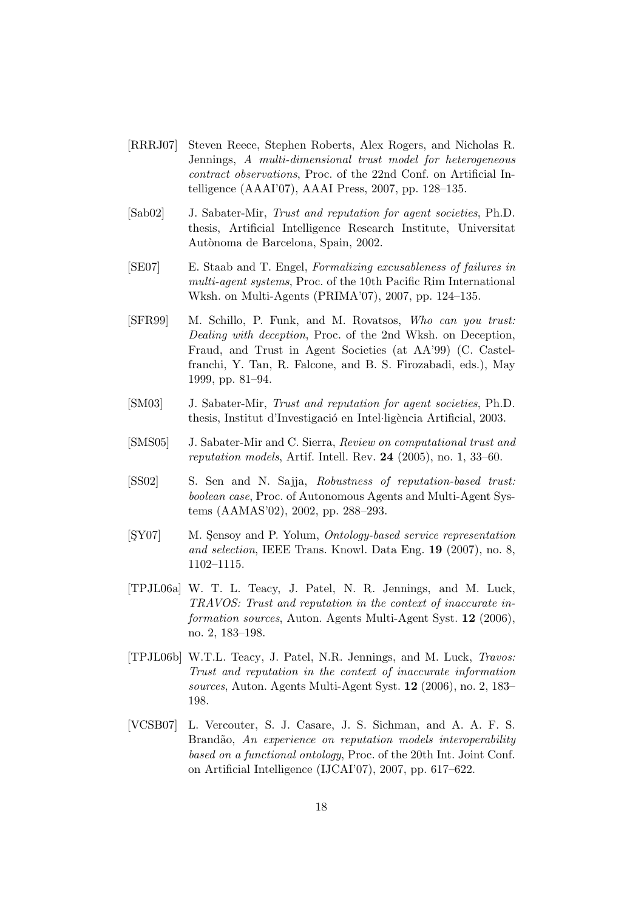- <span id="page-17-4"></span>[RRRJ07] Steven Reece, Stephen Roberts, Alex Rogers, and Nicholas R. Jennings, A multi-dimensional trust model for heterogeneous contract observations, Proc. of the 22nd Conf. on Artificial Intelligence (AAAI'07), AAAI Press, 2007, pp. 128–135.
- <span id="page-17-0"></span>[Sab02] J. Sabater-Mir, Trust and reputation for agent societies, Ph.D. thesis, Artificial Intelligence Research Institute, Universitat Autònoma de Barcelona, Spain, 2002.
- <span id="page-17-2"></span>[SE07] E. Staab and T. Engel, Formalizing excusableness of failures in multi-agent systems, Proc. of the 10th Pacific Rim International Wksh. on Multi-Agents (PRIMA'07), 2007, pp. 124–135.
- <span id="page-17-5"></span>[SFR99] M. Schillo, P. Funk, and M. Rovatsos, Who can you trust: Dealing with deception, Proc. of the 2nd Wksh. on Deception, Fraud, and Trust in Agent Societies (at AA'99) (C. Castelfranchi, Y. Tan, R. Falcone, and B. S. Firozabadi, eds.), May 1999, pp. 81–94.
- <span id="page-17-7"></span>[SM03] J. Sabater-Mir, Trust and reputation for agent societies, Ph.D. thesis, Institut d'Investigació en Intel·ligència Artificial, 2003.
- <span id="page-17-9"></span>[SMS05] J. Sabater-Mir and C. Sierra, Review on computational trust and reputation models, Artif. Intell. Rev.  $24$  (2005), no. 1, 33–60.
- <span id="page-17-1"></span>[SS02] S. Sen and N. Sajja, Robustness of reputation-based trust: boolean case, Proc. of Autonomous Agents and Multi-Agent Systems (AAMAS'02), 2002, pp. 288–293.
- <span id="page-17-6"></span>[ŞY07] M. Şensoy and P. Yolum, Ontology-based service representation and selection, IEEE Trans. Knowl. Data Eng. 19 (2007), no. 8, 1102–1115.
- <span id="page-17-3"></span>[TPJL06a] W. T. L. Teacy, J. Patel, N. R. Jennings, and M. Luck, TRAVOS: Trust and reputation in the context of inaccurate information sources, Auton. Agents Multi-Agent Syst. 12 (2006), no. 2, 183–198.
- <span id="page-17-8"></span>[TPJL06b] W.T.L. Teacy, J. Patel, N.R. Jennings, and M. Luck, Travos: Trust and reputation in the context of inaccurate information sources, Auton. Agents Multi-Agent Syst. 12 (2006), no. 2, 183– 198.
- <span id="page-17-10"></span>[VCSB07] L. Vercouter, S. J. Casare, J. S. Sichman, and A. A. F. S. Brandão, An experience on reputation models interoperability based on a functional ontology, Proc. of the 20th Int. Joint Conf. on Artificial Intelligence (IJCAI'07), 2007, pp. 617–622.